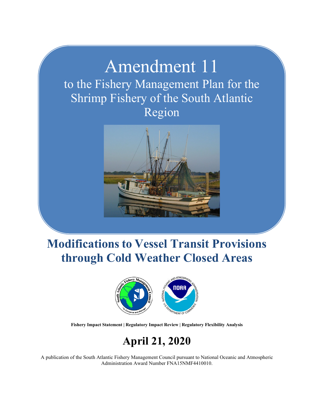## Amendment 11 to the Fishery Management Plan for the Shrimp Fishery of the South Atlantic Region



## **Modifications to Vessel Transit Provisions through Cold Weather Closed Areas**



**Fishery Impact Statement | Regulatory Impact Review | Regulatory Flexibility Analysis**

## **April 21, 2020**

A publication of the South Atlantic Fishery Management Council pursuant to National Oceanic and Atmospheric Administration Award Number FNA15NMF4410010.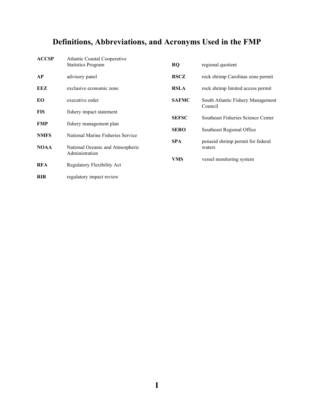## **Definitions, Abbreviations, and Acronyms Used in the FMP**

| <b>ACCSP</b> | <b>Atlantic Coastal Cooperative</b><br><b>Statistics Program</b> | <b>RQ</b>    | regional quotient                            |
|--------------|------------------------------------------------------------------|--------------|----------------------------------------------|
| AP           | advisory panel                                                   | <b>RSCZ</b>  | rock shrimp Carolinas zone permit            |
| EEZ          | exclusive economic zone                                          | <b>RSLA</b>  | rock shrimp limited access permit            |
| EO.          | executive order                                                  | <b>SAFMC</b> | South Atlantic Fishery Management<br>Council |
| <b>FIS</b>   | fishery impact statement                                         |              |                                              |
| <b>FMP</b>   | fishery management plan                                          | <b>SEFSC</b> | Southeast Fisheries Science Center           |
|              |                                                                  | <b>SERO</b>  | Southeast Regional Office                    |
| <b>NMFS</b>  | National Marine Fisheries Service                                | <b>SPA</b>   | penaeid shrimp permit for federal            |
| <b>NOAA</b>  | National Oceanic and Atmospheric<br>Administration               |              | waters                                       |
| <b>RFA</b>   | Regulatory Flexibility Act                                       | <b>VMS</b>   | vessel monitoring system                     |
| <b>RIR</b>   | regulatory impact review                                         |              |                                              |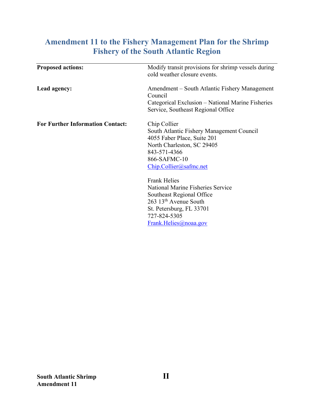## **Amendment 11 to the Fishery Management Plan for the Shrimp Fishery of the South Atlantic Region**

| <b>Proposed actions:</b>                | Modify transit provisions for shrimp vessels during<br>cold weather closure events.                                                                                                                    |
|-----------------------------------------|--------------------------------------------------------------------------------------------------------------------------------------------------------------------------------------------------------|
| Lead agency:                            | Amendment – South Atlantic Fishery Management<br>Council                                                                                                                                               |
|                                         | Categorical Exclusion – National Marine Fisheries<br>Service, Southeast Regional Office                                                                                                                |
| <b>For Further Information Contact:</b> | Chip Collier<br>South Atlantic Fishery Management Council<br>4055 Faber Place, Suite 201<br>North Charleston, SC 29405<br>843-571-4366<br>866-SAFMC-10<br>Chip. Collier@safmc.net                      |
|                                         | <b>Frank Helies</b><br><b>National Marine Fisheries Service</b><br>Southeast Regional Office<br>263 13 <sup>th</sup> Avenue South<br>St. Petersburg, FL 33701<br>727-824-5305<br>Frank.Helies@noaa.gov |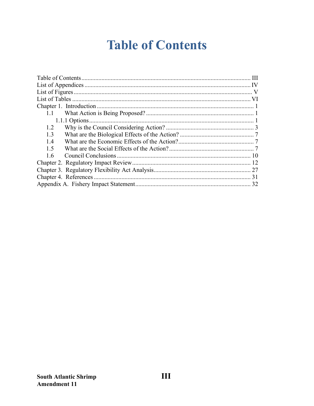## **Table of Contents**

<span id="page-3-0"></span>

| 1.1 |
|-----|
|     |
| 1.2 |
| 1.3 |
| 1.4 |
| 1.5 |
| 1.6 |
|     |
|     |
|     |
|     |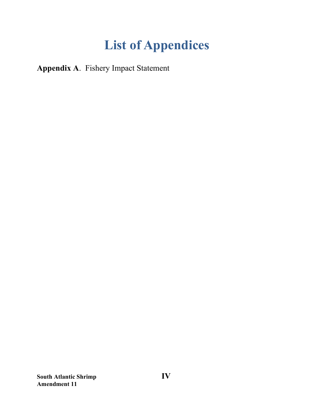# **List of Appendices**

<span id="page-4-0"></span>**Appendix A**. Fishery Impact Statement

**South Atlantic Shrimp IV Amendment 11**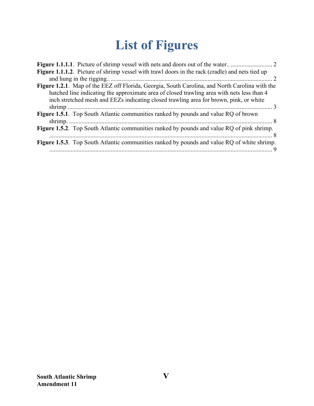# **List of Figures**

<span id="page-5-0"></span>

| Figure 1.1.1.2. Picture of shrimp vessel with trawl doors in the rack (cradle) and nets tied up                                                                                                                                                                                        |
|----------------------------------------------------------------------------------------------------------------------------------------------------------------------------------------------------------------------------------------------------------------------------------------|
|                                                                                                                                                                                                                                                                                        |
| Figure 1.2.1. Map of the EEZ off Florida, Georgia, South Carolina, and North Carolina with the<br>hatched line indicating the approximate area of closed trawling area with nets less than 4<br>inch stretched mesh and EEZs indicating closed trawling area for brown, pink, or white |
|                                                                                                                                                                                                                                                                                        |
| Figure 1.5.1. Top South Atlantic communities ranked by pounds and value RQ of brown                                                                                                                                                                                                    |
| Figure 1.5.2. Top South Atlantic communities ranked by pounds and value RQ of pink shrimp.                                                                                                                                                                                             |
| Figure 1.5.3. Top South Atlantic communities ranked by pounds and value RQ of white shrimp.                                                                                                                                                                                            |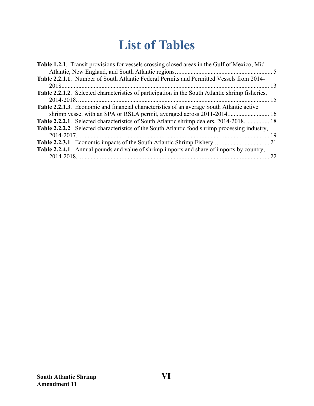## **List of Tables**

<span id="page-6-0"></span>

| Table 1.2.1. Transit provisions for vessels crossing closed areas in the Gulf of Mexico, Mid-    |    |
|--------------------------------------------------------------------------------------------------|----|
|                                                                                                  |    |
| Table 2.2.1.1. Number of South Atlantic Federal Permits and Permitted Vessels from 2014-         |    |
|                                                                                                  |    |
| Table 2.2.1.2. Selected characteristics of participation in the South Atlantic shrimp fisheries, |    |
|                                                                                                  |    |
| <b>Table 2.2.1.3.</b> Economic and financial characteristics of an average South Atlantic active |    |
| shrimp vessel with an SPA or RSLA permit, averaged across 2011-2014 16                           |    |
| Table 2.2.2.1. Selected characteristics of South Atlantic shrimp dealers, 2014-2018 18           |    |
| Table 2.2.2.2. Selected characteristics of the South Atlantic food shrimp processing industry,   |    |
|                                                                                                  |    |
|                                                                                                  |    |
| Table 2.2.4.1. Annual pounds and value of shrimp imports and share of imports by country,        |    |
|                                                                                                  | 22 |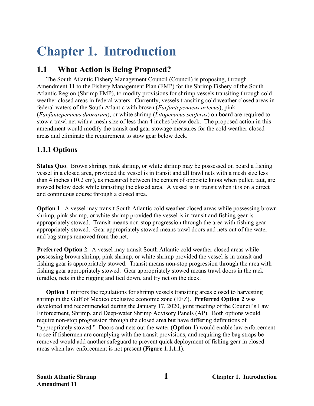# <span id="page-7-0"></span>**Chapter 1. Introduction**

## <span id="page-7-1"></span>**1.1 What Action is Being Proposed?**

The South Atlantic Fishery Management Council (Council) is proposing, through Amendment 11 to the Fishery Management Plan (FMP) for the Shrimp Fishery of the South Atlantic Region (Shrimp FMP), to modify provisions for shrimp vessels transiting through cold weather closed areas in federal waters. Currently, vessels transiting cold weather closed areas in federal waters of the South Atlantic with brown (*Farfantepenaeus aztecus*), pink (*Fanfantepenaeus duorarum*), or white shrimp (*Litopenaeus setiferus*) on board are required to stow a trawl net with a mesh size of less than 4 inches below deck. The proposed action in this amendment would modify the transit and gear stowage measures for the cold weather closed areas and eliminate the requirement to stow gear below deck.

## <span id="page-7-2"></span>**1.1.1 Options**

**Status Quo**.Brown shrimp, pink shrimp, or white shrimp may be possessed on board a fishing vessel in a closed area, provided the vessel is in transit and all trawl nets with a mesh size less than 4 inches (10.2 cm), as measured between the centers of opposite knots when pulled taut, are stowed below deck while transiting the closed area. A vessel is in transit when it is on a direct and continuous course through a closed area.

**Option 1**. A vessel may transit South Atlantic cold weather closed areas while possessing brown shrimp, pink shrimp, or white shrimp provided the vessel is in transit and fishing gear is appropriately stowed. Transit means non-stop progression through the area with fishing gear appropriately stowed. Gear appropriately stowed means trawl doors and nets out of the water and bag straps removed from the net.

**Preferred Option 2.** A vessel may transit South Atlantic cold weather closed areas while possessing brown shrimp, pink shrimp, or white shrimp provided the vessel is in transit and fishing gear is appropriately stowed. Transit means non-stop progression through the area with fishing gear appropriately stowed. Gear appropriately stowed means trawl doors in the rack (cradle), nets in the rigging and tied down, and try net on the deck.

**Option 1** mirrors the regulations for shrimp vessels transiting areas closed to harvesting shrimp in the Gulf of Mexico exclusive economic zone (EEZ). **Preferred Option 2** was developed and recommended during the January 17, 2020, joint meeting of the Council's Law Enforcement, Shrimp, and Deep-water Shrimp Advisory Panels (AP). Both options would require non-stop progression through the closed area but have differing definitions of "appropriately stowed." Doors and nets out the water (**Option 1**) would enable law enforcement to see if fishermen are complying with the transit provisions, and requiring the bag straps be removed would add another safeguard to prevent quick deployment of fishing gear in closed areas when law enforcement is not present (**Figure 1.1.1.1**).

**South Atlantic Shrimp 1 Chapter 1. Introduction**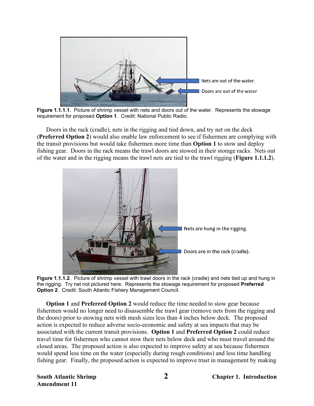

**Figure 1.1.1.1**. Picture of shrimp vessel with nets and doors out of the water. Represents the stowage requirement for proposed **Option 1**. Credit: National Public Radio.

<span id="page-8-0"></span>Doors in the rack (cradle), nets in the rigging and tied down, and try net on the deck (**Preferred Option 2**) would also enable law enforcement to see if fishermen are complying with the transit provisions but would take fishermen more time than **Option 1** to stow and deploy fishing gear. Doors in the rack means the trawl doors are stowed in their storage racks. Nets out of the water and in the rigging means the trawl nets are tied to the trawl rigging (**Figure 1.1.1.2**).



<span id="page-8-1"></span>**Figure 1.1.1.2**. Picture of shrimp vessel with trawl doors in the rack (cradle) and nets tied up and hung in the rigging. Try net not pictured here. Represents the stowage requirement for proposed **Preferred Option 2**. Credit: South Atlantic Fishery Management Council.

**Option 1** and **Preferred Option 2** would reduce the time needed to stow gear because fishermen would no longer need to disassemble the trawl gear (remove nets from the rigging and the doors) prior to stowing nets with mesh sizes less than 4 inches below deck. The proposed action is expected to reduce adverse socio-economic and safety at sea impacts that may be associated with the current transit provisions. **Option 1** and **Preferred Option 2** could reduce travel time for fishermen who cannot stow their nets below deck and who must travel around the closed areas. The proposed action is also expected to improve safety at sea because fishermen would spend less time on the water (especially during rough conditions) and less time handling fishing gear. Finally, the proposed action is expected to improve trust in management by making

**Amendment 11**

**South Atlantic Shrimp 2 Chapter 1. Introduction**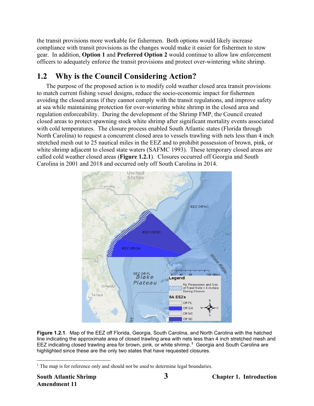the transit provisions more workable for fishermen. Both options would likely increase compliance with transit provisions as the changes would make it easier for fishermen to stow gear. In addition, **Option 1** and **Preferred Option 2** would continue to allow law enforcement officers to adequately enforce the transit provisions and protect over-wintering white shrimp.

## <span id="page-9-0"></span>**1.2 Why is the Council Considering Action?**

The purpose of the proposed action is to modify cold weather closed area transit provisions to match current fishing vessel designs, reduce the socio-economic impact for fishermen avoiding the closed areas if they cannot comply with the transit regulations, and improve safety at sea while maintaining protection for over-wintering white shrimp in the closed area and regulation enforceability. During the development of the Shrimp FMP, the Council created closed areas to protect spawning stock white shrimp after significant mortality events associated with cold temperatures. The closure process enabled South Atlantic states (Florida through North Carolina) to request a concurrent closed area to vessels trawling with nets less than 4 inch stretched mesh out to 25 nautical miles in the EEZ and to prohibit possession of brown, pink, or white shrimp adjacent to closed state waters (SAFMC 1993). These temporary closed areas are called cold weather closed areas (**Figure 1.2.1**). Closures occurred off Georgia and South Carolina in 2001 and 2018 and occurred only off South Carolina in 2014.



<span id="page-9-1"></span>**Figure 1.2.1**. Map of the EEZ off Florida, Georgia, South Carolina, and North Carolina with the hatched line indicating the approximate area of closed trawling area with nets less than 4 inch stretched mesh and EEZ indicating closed trawling area for brown, pink, or white shrimp. **[1](#page-9-2)** Georgia and South Carolina are highlighted since these are the only two states that have requested closures.

<span id="page-9-2"></span><sup>&</sup>lt;sup>1</sup> The map is for reference only and should not be used to determine legal boundaries.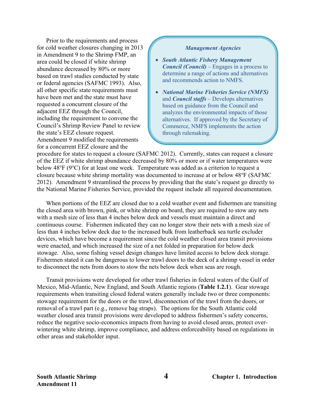Prior to the requirements and process for cold weather closures changing in 2013 in Amendment 9 to the Shrimp FMP, an area could be closed if white shrimp abundance decreased by 80% or more based on trawl studies conducted by state or federal agencies (SAFMC 1993). Also, all other specific state requirements must have been met and the state must have requested a concurrent closure of the adjacent EEZ through the Council, including the requirement to convene the Council's Shrimp Review Panel to review the state's EEZ closure request. Amendment 9 modified the requirements for a concurrent EEZ closure and the

#### *Management Agencies*

- *South Atlantic Fishery Management Council (Council)* – Engages in a process to determine a range of actions and alternatives and recommends action to NMFS.
- *National Marine Fisheries Service (NMFS)*  and *Council staffs* – Develops alternatives based on guidance from the Council and analyzes the environmental impacts of those alternatives. If approved by the Secretary of Commerce, NMFS implements the action through rulemaking.

procedure for states to request a closure (SAFMC 2012). Currently, states can request a closure of the EEZ if white shrimp abundance decreased by 80% or more or if water temperatures were below 48℉ (9℃) for at least one week. Temperature was added as a criterion to request a closure because white shrimp mortality was documented to increase at or below 48℉ (SAFMC 2012). Amendment 9 streamlined the process by providing that the state's request go directly to the National Marine Fisheries Service, provided the request include all required documentation.

When portions of the EEZ are closed due to a cold weather event and fishermen are transiting the closed area with brown, pink, or white shrimp on board, they are required to stow any nets with a mesh size of less than 4 inches below deck and vessels must maintain a direct and continuous course. Fishermen indicated they can no longer stow their nets with a mesh size of less than 4 inches below deck due to the increased bulk from leatherback sea turtle excluder devices, which have become a requirement since the cold weather closed area transit provisions were enacted, and which increased the size of a net folded in preparation for below deck stowage. Also, some fishing vessel design changes have limited access to below deck storage. Fishermen stated it can be dangerous to lower trawl doors to the deck of a shrimp vessel in order to disconnect the nets from doors to stow the nets below deck when seas are rough.

<span id="page-10-0"></span>Transit provisions were developed for other trawl fisheries in federal waters of the Gulf of Mexico, Mid-Atlantic, New England, and South Atlantic regions (**Table 1.2.1**). Gear stowage requirements when transiting closed federal waters generally include two or three components: stowage requirement for the doors or the trawl, disconnection of the trawl from the doors, or removal of a trawl part (e.g., remove bag straps). The options for the South Atlantic cold weather closed area transit provisions were developed to address fishermen's safety concerns, reduce the negative socio-economics impacts from having to avoid closed areas, protect overwintering white shrimp, improve compliance, and address enforceability based on regulations in other areas and stakeholder input.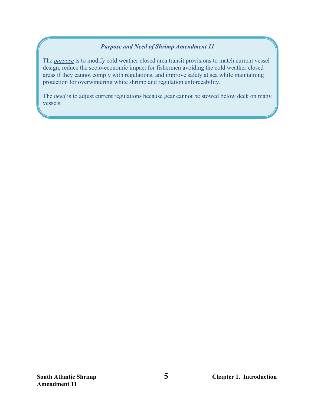#### *Purpose and Need of Shrimp Amendment 11*

The *purpose* is to modify cold weather closed area transit provisions to match current vessel design, reduce the socio-economic impact for fishermen avoiding the cold weather closed areas if they cannot comply with regulations, and improve safety at sea while maintaining protection for overwintering white shrimp and regulation enforceability.

The *need* is to adjust current regulations because gear cannot be stowed below deck on many vessels.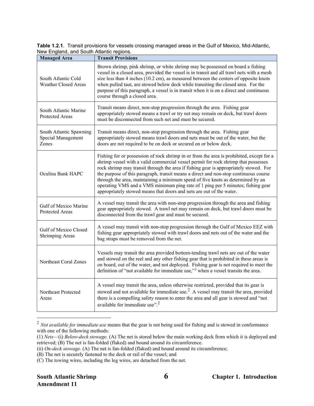**Table 1.2.1**. Transit provisions for vessels crossing managed areas in the Gulf of Mexico, Mid-Atlantic, New England, and South Atlantic regions.

| <b>Managed Area</b>                                    | <b>Transit Provisions</b>                                                                                                                                                                                                                                                                                                                                                                                                                                                                                                                                                                                     |
|--------------------------------------------------------|---------------------------------------------------------------------------------------------------------------------------------------------------------------------------------------------------------------------------------------------------------------------------------------------------------------------------------------------------------------------------------------------------------------------------------------------------------------------------------------------------------------------------------------------------------------------------------------------------------------|
| South Atlantic Cold<br><b>Weather Closed Areas</b>     | Brown shrimp, pink shrimp, or white shrimp may be possessed on board a fishing<br>vessel in a closed area, provided the vessel is in transit and all trawl nets with a mesh<br>size less than 4 inches (10.2 cm), as measured between the centers of opposite knots<br>when pulled taut, are stowed below deck while transiting the closed area. For the<br>purpose of this paragraph, a vessel is in transit when it is on a direct and continuous<br>course through a closed area.                                                                                                                          |
| South Atlantic Marine<br>Protected Areas               | Transit means direct, non-stop progression through the area. Fishing gear<br>appropriately stowed means a trawl or try net may remain on deck, but trawl doors<br>must be disconnected from such net and must be secured.                                                                                                                                                                                                                                                                                                                                                                                     |
| South Atlantic Spawning<br>Special Management<br>Zones | Transit means direct, non-stop progression through the area. Fishing gear<br>appropriately stowed means trawl doors and nets must be out of the water, but the<br>doors are not required to be on deck or secured on or below deck.                                                                                                                                                                                                                                                                                                                                                                           |
| Oculina Bank HAPC                                      | Fishing for or possession of rock shrimp in or from the area is prohibited, except for a<br>shrimp vessel with a valid commercial vessel permit for rock shrimp that possesses<br>rock shrimp may transit through the area if fishing gear is appropriately stowed. For<br>the purpose of this paragraph, transit means a direct and non-stop continuous course<br>through the area, maintaining a minimum speed of five knots as determined by an<br>operating VMS and a VMS minimum ping rate of 1 ping per 5 minutes; fishing gear<br>appropriately stowed means that doors and nets are out of the water. |
| Gulf of Mexico Marine<br>Protected Areas               | A vessel may transit the area with non-stop progression through the area and fishing<br>gear appropriately stowed. A trawl net may remain on deck, but trawl doors must be<br>disconnected from the trawl gear and must be secured.                                                                                                                                                                                                                                                                                                                                                                           |
| Gulf of Mexico Closed<br>Shrimping Areas               | A vessel may transit with non-stop progression through the Gulf of Mexico EEZ with<br>fishing gear appropriately stowed with trawl doors and nets out of the water and the<br>bag straps must be removed from the net.                                                                                                                                                                                                                                                                                                                                                                                        |
| Northeast Coral Zones                                  | Vessels may transit the area provided bottom-tending trawl nets are out of the water<br>and stowed on the reel and any other fishing gear that is prohibited in these areas is<br>on board, out of the water, and not deployed. Fishing gear is not required to meet the<br>definition of "not available for immediate use," <sup>2</sup> when a vessel transits the area.                                                                                                                                                                                                                                    |
| Northeast Protected<br>Areas                           | A vessel may transit the area, unless otherwise restricted, provided that its gear is<br>stowed and not available for immediate use. <sup>2</sup> A vessel may transit the area, provided<br>there is a compelling safety reason to enter the area and all gear is stowed and "not<br>available for immediate use". <sup>2</sup>                                                                                                                                                                                                                                                                              |

<span id="page-12-1"></span><span id="page-12-0"></span><sup>2</sup> *Not available for immediate use* means that the gear is not being used for fishing and is stowed in conformance with one of the following methods:

<sup>(1)</sup> *Nets*—(i) *Below-deck stowage.* (A) The net is stored below the main working deck from which it is deployed and retrieved; (B) The net is fan-folded (flaked) and bound around its circumference.

<sup>(</sup>ii) *On-deck stowage.* (A) The net is fan-folded (flaked) and bound around its circumference;

<sup>(</sup>B) The net is securely fastened to the deck or rail of the vessel; and

<sup>(</sup>C) The towing wires, including the leg wires, are detached from the net.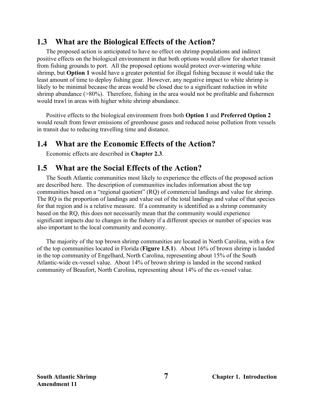## <span id="page-13-0"></span>**1.3 What are the Biological Effects of the Action?**

The proposed action is anticipated to have no effect on shrimp populations and indirect positive effects on the biological environment in that both options would allow for shorter transit from fishing grounds to port. All the proposed options would protect over-wintering white shrimp, but **Option 1** would have a greater potential for illegal fishing because it would take the least amount of time to deploy fishing gear. However, any negative impact to white shrimp is likely to be minimal because the areas would be closed due to a significant reduction in white shrimp abundance (>80%). Therefore, fishing in the area would not be profitable and fishermen would trawl in areas with higher white shrimp abundance.

Positive effects to the biological environment from both **Option 1** and **Preferred Option 2** would result from fewer emissions of greenhouse gases and reduced noise pollution from vessels in transit due to reducing travelling time and distance.

## <span id="page-13-1"></span>**1.4 What are the Economic Effects of the Action?**

Economic effects are described in **Chapter 2.3**.

## <span id="page-13-2"></span>**1.5 What are the Social Effects of the Action?**

The South Atlantic communities most likely to experience the effects of the proposed action are described here. The description of communities includes information about the top communities based on a "regional quotient" (RQ) of commercial landings and value for shrimp. The RQ is the proportion of landings and value out of the total landings and value of that species for that region and is a relative measure. If a community is identified as a shrimp community based on the RQ, this does not necessarily mean that the community would experience significant impacts due to changes in the fishery if a different species or number of species was also important to the local community and economy.

The majority of the top brown shrimp communities are located in North Carolina, with a few of the top communities located in Florida (**Figure 1.5.1**). About 16% of brown shrimp is landed in the top community of Engelhard, North Carolina, representing about 15% of the South Atlantic-wide ex-vessel value. About 14% of brown shrimp is landed in the second ranked community of Beaufort, North Carolina, representing about 14% of the ex-vessel value.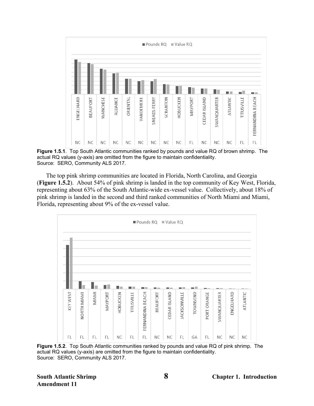

<span id="page-14-0"></span>**Figure 1.5.1**. Top South Atlantic communities ranked by pounds and value RQ of brown shrimp. The actual RQ values (y-axis) are omitted from the figure to maintain confidentiality. Source: SERO, Community ALS 2017.

The top pink shrimp communities are located in Florida, North Carolina, and Georgia (**Figure 1.5.2**). About 54% of pink shrimp is landed in the top community of Key West, Florida, representing about 63% of the South Atlantic-wide ex-vessel value. Collectively, about 18% of pink shrimp is landed in the second and third ranked communities of North Miami and Miami, Florida, representing about 9% of the ex-vessel value.



<span id="page-14-1"></span>**Figure 1.5.2**. Top South Atlantic communities ranked by pounds and value RQ of pink shrimp. The actual RQ values (y-axis) are omitted from the figure to maintain confidentiality. Source: SERO, Community ALS 2017.

**Amendment 11**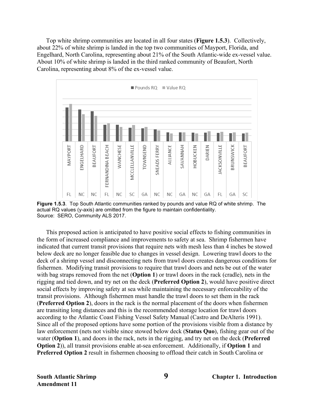Top white shrimp communities are located in all four states (**Figure 1.5.3**). Collectively, about 22% of white shrimp is landed in the top two communities of Mayport, Florida, and Engelhard, North Carolina, representing about 21% of the South Atlantic-wide ex-vessel value. About 10% of white shrimp is landed in the third ranked community of Beaufort, North Carolina, representing about 8% of the ex-vessel value.



<span id="page-15-0"></span>**Figure 1.5.3**. Top South Atlantic communities ranked by pounds and value RQ of white shrimp. The actual RQ values (y-axis) are omitted from the figure to maintain confidentiality. Source: SERO, Community ALS 2017.

This proposed action is anticipated to have positive social effects to fishing communities in the form of increased compliance and improvements to safety at sea. Shrimp fishermen have indicated that current transit provisions that require nets with mesh less than 4 inches be stowed below deck are no longer feasible due to changes in vessel design. Lowering trawl doors to the deck of a shrimp vessel and disconnecting nets from trawl doors creates dangerous conditions for fishermen. Modifying transit provisions to require that trawl doors and nets be out of the water with bag straps removed from the net (**Option 1**) or trawl doors in the rack (cradle), nets in the rigging and tied down, and try net on the deck (**Preferred Option 2**), would have positive direct social effects by improving safety at sea while maintaining the necessary enforceability of the transit provisions. Although fishermen must handle the trawl doors to set them in the rack (**Preferred Option 2**), doors in the rack is the normal placement of the doors when fishermen are transiting long distances and this is the recommended storage location for trawl doors according to the Atlantic Coast Fishing Vessel Safety Manual (Castro and DeAlteris 1991). Since all of the proposed options have some portion of the provisions visible from a distance by law enforcement (nets not visible since stowed below deck (**Status Quo**), fishing gear out of the water (**Option 1**), and doors in the rack, nets in the rigging, and try net on the deck (**Preferred Option 2**)), all transit provisions enable at-sea enforcement. Additionally, if **Option 1** and **Preferred Option 2** result in fishermen choosing to offload their catch in South Carolina or

**South Atlantic Shrimp 9 Chapter 1. Introduction**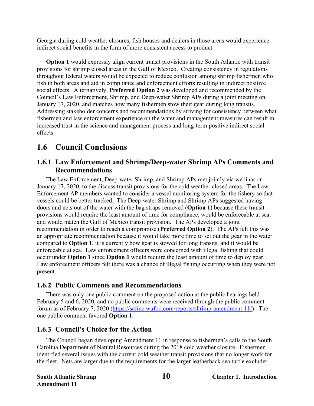Georgia during cold weather closures, fish houses and dealers in those areas would experience indirect social benefits in the form of more consistent access to product.

**Option 1** would expressly align current transit provisions in the South Atlantic with transit provisions for shrimp closed areas in the Gulf of Mexico. Creating consistency in regulations throughout federal waters would be expected to reduce confusion among shrimp fishermen who fish in both areas and aid in compliance and enforcement efforts resulting in indirect positive social effects. Alternatively, **Preferred Option 2** was developed and recommended by the Council's Law Enforcement, Shrimp, and Deep-water Shrimp APs during a joint meeting on January 17, 2020, and matches how many fishermen stow their gear during long transits. Addressing stakeholder concerns and recommendations by striving for consistency between what fishermen and law enforcement experience on the water and management measures can result in increased trust in the science and management process and long-term positive indirect social effects.

## <span id="page-16-0"></span>**1.6 Council Conclusions**

### **1.6.1 Law Enforcement and Shrimp/Deep-water Shrimp APs Comments and Recommendations**

The Law Enforcement, Deep-water Shrimp, and Shrimp APs met jointly via webinar on January 17, 2020, to the discuss transit provisions for the cold weather closed areas. The Law Enforcement AP members wanted to consider a vessel monitoring system for the fishery so that vessels could be better tracked. The Deep-water Shrimp and Shrimp APs suggested having doors and nets out of the water with the bag straps removed (**Option 1**) because these transit provisions would require the least amount of time for compliance, would be enforceable at sea, and would match the Gulf of Mexico transit provision. The APs developed a joint recommendation in order to reach a compromise (**Preferred Option 2**). The APs felt this was an appropriate recommendation because it would take more time to set out the gear in the water compared to **Option 1**, it is currently how gear is stowed for long transits, and it would be enforceable at sea. Law enforcement officers were concerned with illegal fishing that could occur under **Option 1 s**ince **Option 1** would require the least amount of time to deploy gear. Law enforcement officers felt there was a chance of illegal fishing occurring when they were not present.

### **1.6.2 Public Comments and Recommendations**

There was only one public comment on the proposed action at the public hearings held February 5 and 6, 2020, and no public comments were received through the public comment forum as of February 7, 2020 [\(https://safmc.wufoo.com/reports/shrimp-amendment-11/\)](https://safmc.wufoo.com/reports/shrimp-amendment-11/). The one public comment favored **Option 1**.

### **1.6.3 Council's Choice for the Action**

The Council began developing Amendment 11 in response to fishermen's calls to the South Carolina Department of Natural Resources during the 2018 cold weather closure. Fishermen identified several issues with the current cold weather transit provisions that no longer work for the fleet. Nets are larger due to the requirements for the larger leatherback sea turtle excluder

**Amendment 11**

**South Atlantic Shrimp 10 Chapter 1. Introduction**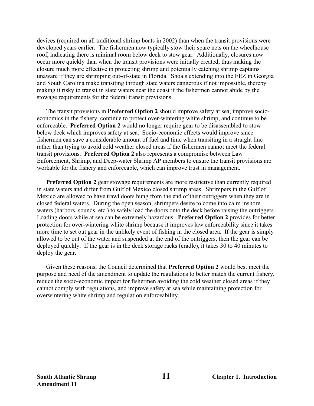devices (required on all traditional shrimp boats in 2002) than when the transit provisions were developed years earlier. The fishermen now typically stow their spare nets on the wheelhouse roof, indicating there is minimal room below deck to stow gear. Additionally, closures now occur more quickly than when the transit provisions were initially created, thus making the closure much more effective in protecting shrimp and potentially catching shrimp captains unaware if they are shrimping out-of-state in Florida. Shoals extending into the EEZ in Georgia and South Carolina make transiting through state waters dangerous if not impossible, thereby making it risky to transit in state waters near the coast if the fishermen cannot abide by the stowage requirements for the federal transit provisions.

The transit provisions in **Preferred Option 2** should improve safety at sea, improve socioeconomics in the fishery, continue to protect over-wintering white shrimp, and continue to be enforceable. **Preferred Option 2** would no longer require gear to be disassembled to stow below deck which improves safety at sea. Socio-economic effects would improve since fishermen can save a considerable amount of fuel and time when transiting in a straight line rather than trying to avoid cold weather closed areas if the fishermen cannot meet the federal transit provisions. **Preferred Option 2** also represents a compromise between Law Enforcement, Shrimp, and Deep-water Shrimp AP members to ensure the transit provisions are workable for the fishery and enforceable, which can improve trust in management.

**Preferred Option 2** gear stowage requirements are more restrictive than currently required in state waters and differ from Gulf of Mexico closed shrimp areas. Shrimpers in the Gulf of Mexico are allowed to have trawl doors hung from the end of their outriggers when they are in closed federal waters. During the open season, shrimpers desire to come into calm inshore waters (harbors, sounds, etc.) to safely load the doors onto the deck before raising the outriggers. Loading doors while at sea can be extremely hazardous. **Preferred Option 2** provides for better protection for over-wintering white shrimp because it improves law enforceability since it takes more time to set out gear in the unlikely event of fishing in the closed area. If the gear is simply allowed to be out of the water and suspended at the end of the outriggers, then the gear can be deployed quickly. If the gear is in the deck storage racks (cradle), it takes 30 to 40 minutes to deploy the gear.

Given these reasons, the Council determined that **Preferred Option 2** would best meet the purpose and need of the amendment to update the regulations to better match the current fishery, reduce the socio-economic impact for fishermen avoiding the cold weather closed areas if they cannot comply with regulations, and improve safety at sea while maintaining protection for overwintering white shrimp and regulation enforceability.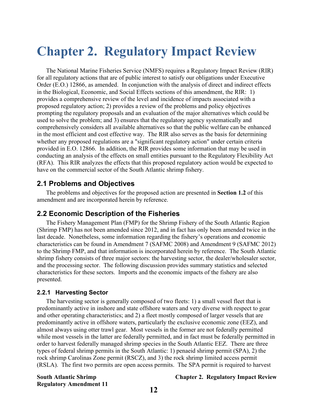## <span id="page-18-0"></span>**Chapter 2. Regulatory Impact Review**

The National Marine Fisheries Service (NMFS) requires a Regulatory Impact Review (RIR) for all regulatory actions that are of public interest to satisfy our obligations under Executive Order (E.O.) 12866, as amended. In conjunction with the analysis of direct and indirect effects in the Biological, Economic, and Social Effects sections of this amendment, the RIR: 1) provides a comprehensive review of the level and incidence of impacts associated with a proposed regulatory action; 2) provides a review of the problems and policy objectives prompting the regulatory proposals and an evaluation of the major alternatives which could be used to solve the problem; and 3) ensures that the regulatory agency systematically and comprehensively considers all available alternatives so that the public welfare can be enhanced in the most efficient and cost effective way. The RIR also serves as the basis for determining whether any proposed regulations are a "significant regulatory action" under certain criteria provided in E.O. 12866. In addition, the RIR provides some information that may be used in conducting an analysis of the effects on small entities pursuant to the Regulatory Flexibility Act (RFA). This RIR analyzes the effects that this proposed regulatory action would be expected to have on the commercial sector of the South Atlantic shrimp fishery.

### **2.1 Problems and Objectives**

The problems and objectives for the proposed action are presented in **Section 1.2** of this amendment and are incorporated herein by reference.

### **2.2 Economic Description of the Fisheries**

The Fishery Management Plan (FMP) for the Shrimp Fishery of the South Atlantic Region (Shrimp FMP) has not been amended since 2012, and in fact has only been amended twice in the last decade. Nonetheless, some information regarding the fishery's operations and economic characteristics can be found in Amendment 7 (SAFMC 2008) and Amendment 9 (SAFMC 2012) to the Shrimp FMP, and that information is incorporated herein by reference. The South Atlantic shrimp fishery consists of three major sectors: the harvesting sector, the dealer/wholesaler sector, and the processing sector. The following discussion provides summary statistics and selected characteristics for these sectors. Imports and the economic impacts of the fishery are also presented.

#### **2.2.1 Harvesting Sector**

The harvesting sector is generally composed of two fleets: 1) a small vessel fleet that is predominantly active in inshore and state offshore waters and very diverse with respect to gear and other operating characteristics; and 2) a fleet mostly composed of larger vessels that are predominantly active in offshore waters, particularly the exclusive economic zone (EEZ), and almost always using otter trawl gear. Most vessels in the former are not federally permitted while most vessels in the latter are federally permitted, and in fact must be federally permitted in order to harvest federally managed shrimp species in the South Atlantic EEZ. There are three types of federal shrimp permits in the South Atlantic: 1) penaeid shrimp permit (SPA), 2) the rock shrimp Carolinas Zone permit (RSCZ), and 3) the rock shrimp limited access permit (RSLA). The first two permits are open access permits. The SPA permit is required to harvest

**Regulatory Amendment 11**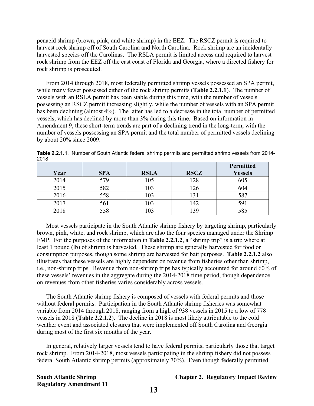penaeid shrimp (brown, pink, and white shrimp) in the EEZ. The RSCZ permit is required to harvest rock shrimp off of South Carolina and North Carolina. Rock shrimp are an incidentally harvested species off the Carolinas. The RSLA permit is limited access and required to harvest rock shrimp from the EEZ off the east coast of Florida and Georgia, where a directed fishery for rock shrimp is prosecuted.

From 2014 through 2018, most federally permitted shrimp vessels possessed an SPA permit, while many fewer possessed either of the rock shrimp permits (**Table 2.2.1.1**). The number of vessels with an RSLA permit has been stable during this time, with the number of vessels possessing an RSCZ permit increasing slightly, while the number of vessels with an SPA permit has been declining (almost 4%). The latter has led to a decrease in the total number of permitted vessels, which has declined by more than 3% during this time. Based on information in Amendment 9, these short-term trends are part of a declining trend in the long-term, with the number of vessels possessing an SPA permit and the total number of permitted vessels declining by about 20% since 2009.

|      |            |             |             | Permitted      |
|------|------------|-------------|-------------|----------------|
| Year | <b>SPA</b> | <b>RSLA</b> | <b>RSCZ</b> | <b>Vessels</b> |
| 2014 | 579        | 105         | 128         | 605            |
| 2015 | 582        | 103         | 126         | 604            |
| 2016 | 558        | 103         | 131         | 587            |
| 2017 | 561        | 103         | 142         | 591            |
| 2018 | 558        | 103         | 39          | 585            |

<span id="page-19-0"></span>**Table 2.2.1.1**. Number of South Atlantic federal shrimp permits and permitted shrimp vessels from 2014- 2018.

Most vessels participate in the South Atlantic shrimp fishery by targeting shrimp, particularly brown, pink, white, and rock shrimp, which are also the four species managed under the Shrimp FMP. For the purposes of the information in **Table 2.2.1.2**, a "shrimp trip" is a trip where at least 1 pound (lb) of shrimp is harvested. These shrimp are generally harvested for food or consumption purposes, though some shrimp are harvested for bait purposes. **Table 2.2.1.2** also illustrates that these vessels are highly dependent on revenue from fisheries other than shrimp, i.e., non-shrimp trips. Revenue from non-shrimp trips has typically accounted for around 60% of these vessels' revenues in the aggregate during the 2014-2018 time period, though dependence on revenues from other fisheries varies considerably across vessels.

The South Atlantic shrimp fishery is composed of vessels with federal permits and those without federal permits. Participation in the South Atlantic shrimp fisheries was somewhat variable from 2014 through 2018, ranging from a high of 938 vessels in 2015 to a low of 778 vessels in 2018 (**Table 2.2.1.2**). The decline in 2018 is most likely attributable to the cold weather event and associated closures that were implemented off South Carolina and Georgia during most of the first six months of the year.

In general, relatively larger vessels tend to have federal permits, particularly those that target rock shrimp. From 2014-2018, most vessels participating in the shrimp fishery did not possess federal South Atlantic shrimp permits (approximately 70%). Even though federally permitted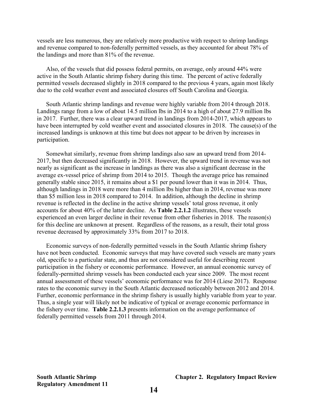vessels are less numerous, they are relatively more productive with respect to shrimp landings and revenue compared to non-federally permitted vessels, as they accounted for about 78% of the landings and more than 81% of the revenue.

Also, of the vessels that did possess federal permits, on average, only around 44% were active in the South Atlantic shrimp fishery during this time. The percent of active federally permitted vessels decreased slightly in 2018 compared to the previous 4 years, again most likely due to the cold weather event and associated closures off South Carolina and Georgia.

South Atlantic shrimp landings and revenue were highly variable from 2014 through 2018. Landings range from a low of about 14.5 million lbs in 2014 to a high of about 27.9 million lbs in 2017. Further, there was a clear upward trend in landings from 2014-2017, which appears to have been interrupted by cold weather event and associated closures in 2018. The cause(s) of the increased landings is unknown at this time but does not appear to be driven by increases in participation.

Somewhat similarly, revenue from shrimp landings also saw an upward trend from 2014- 2017, but then decreased significantly in 2018. However, the upward trend in revenue was not nearly as significant as the increase in landings as there was also a significant decrease in the average ex-vessel price of shrimp from 2014 to 2015. Though the average price has remained generally stable since 2015, it remains about a \$1 per pound lower than it was in 2014. Thus, although landings in 2018 were more than 4 million lbs higher than in 2014, revenue was more than \$5 million less in 2018 compared to 2014. In addition, although the decline in shrimp revenue is reflected in the decline in the active shrimp vessels' total gross revenue, it only accounts for about 40% of the latter decline. As **Table 2.2.1.2** illustrates, these vessels experienced an even larger decline in their revenue from other fisheries in 2018. The reason(s) for this decline are unknown at present. Regardless of the reasons, as a result, their total gross revenue decreased by approximately 33% from 2017 to 2018.

Economic surveys of non-federally permitted vessels in the South Atlantic shrimp fishery have not been conducted. Economic surveys that may have covered such vessels are many years old, specific to a particular state, and thus are not considered useful for describing recent participation in the fishery or economic performance. However, an annual economic survey of federally-permitted shrimp vessels has been conducted each year since 2009. The most recent annual assessment of these vessels' economic performance was for 2014 (Liese 2017). Response rates to the economic survey in the South Atlantic decreased noticeably between 2012 and 2014. Further, economic performance in the shrimp fishery is usually highly variable from year to year. Thus, a single year will likely not be indicative of typical or average economic performance in the fishery over time. **Table 2.2.1.3** presents information on the average performance of federally permitted vessels from 2011 through 2014.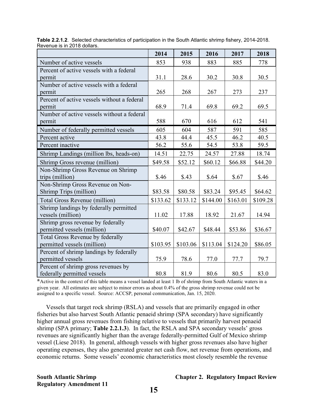| $\overline{\mathcal{L}}$ . The set of $\overline{\mathcal{L}}$ is the $\overline{\mathcal{L}}$ of $\overline{\mathcal{L}}$ of $\overline{\mathcal{L}}$ | 2014     | 2015     | 2016     | 2017     | 2018     |
|--------------------------------------------------------------------------------------------------------------------------------------------------------|----------|----------|----------|----------|----------|
| Number of active vessels                                                                                                                               | 853      | 938      | 883      | 885      | 778      |
| Percent of active vessels with a federal                                                                                                               |          |          |          |          |          |
| permit                                                                                                                                                 | 31.1     | 28.6     | 30.2     | 30.8     | 30.5     |
| Number of active vessels with a federal                                                                                                                |          |          |          |          |          |
| permit                                                                                                                                                 | 265      | 268      | 267      | 273      | 237      |
| Percent of active vessels without a federal                                                                                                            |          |          |          |          |          |
| permit                                                                                                                                                 | 68.9     | 71.4     | 69.8     | 69.2     | 69.5     |
| Number of active vessels without a federal                                                                                                             |          |          |          |          |          |
| permit                                                                                                                                                 | 588      | 670      | 616      | 612      | 541      |
| Number of federally permitted vessels                                                                                                                  | 605      | 604      | 587      | 591      | 585      |
| Percent active                                                                                                                                         | 43.8     | 44.4     | 45.5     | 46.2     | 40.5     |
| Percent inactive                                                                                                                                       | 56.2     | 55.6     | 54.5     | 53.8     | 59.5     |
| Shrimp Landings (million lbs, heads-on)                                                                                                                | 14.51    | 22.75    | 24.57    | 27.88    | 18.74    |
| Shrimp Gross revenue (million)                                                                                                                         | \$49.58  | \$52.12  | \$60.12  | \$66.88  | \$44.20  |
| Non-Shrimp Gross Revenue on Shrimp                                                                                                                     |          |          |          |          |          |
| trips (million)                                                                                                                                        | \$.46    | \$.43    | \$.64    | \$.67    | \$.46    |
| Non-Shrimp Gross Revenue on Non-                                                                                                                       |          |          |          |          |          |
| Shrimp Trips (million)                                                                                                                                 | \$83.58  | \$80.58  | \$83.24  | \$95.45  | \$64.62  |
| <b>Total Gross Revenue (million)</b>                                                                                                                   | \$133.62 | \$133.12 | \$144.00 | \$163.01 | \$109.28 |
| Shrimp landings by federally permitted                                                                                                                 |          |          |          |          |          |
| vessels (million)                                                                                                                                      | 11.02    | 17.88    | 18.92    | 21.67    | 14.94    |
| Shrimp gross revenue by federally                                                                                                                      |          |          |          |          |          |
| permitted vessels (million)                                                                                                                            | \$40.07  | \$42.67  | \$48.44  | \$53.86  | \$36.67  |
| Total Gross Revenue by federally                                                                                                                       |          |          |          |          |          |
| permitted vessels (million)                                                                                                                            | \$103.95 | \$103.06 | \$113.04 | \$124.20 | \$86.05  |
| Percent of shrimp landings by federally                                                                                                                |          |          |          |          |          |
| permitted vessels                                                                                                                                      | 75.9     | 78.6     | 77.0     | 77.7     | 79.7     |
| Percent of shrimp gross revenues by                                                                                                                    |          |          |          |          |          |
| federally permitted vessels                                                                                                                            | 80.8     | 81.9     | 80.6     | 80.5     | 83.0     |

<span id="page-21-0"></span>**Table 2.2.1.2**. Selected characteristics of participation in the South Atlantic shrimp fishery, 2014-2018. Revenue is in 2018 dollars.

**\***Active in the context of this table means a vessel landed at least 1 lb of shrimp from South Atlantic waters in a given year. All estimates are subject to minor errors as about 0.4% of the gross shrimp revenue could not be assigned to a specific vessel. Source: ACCSP, personal communication, Jan. 15, 2020.

Vessels that target rock shrimp (RSLA) and vessels that are primarily engaged in other fisheries but also harvest South Atlantic penaeid shrimp (SPA secondary) have significantly higher annual gross revenues from fishing relative to vessels that primarily harvest penaeid shrimp (SPA primary; **Table 2.2.1.3**). In fact, the RSLA and SPA secondary vessels' gross revenues are significantly higher than the average federally-permitted Gulf of Mexico shrimp vessel (Liese 2018). In general, although vessels with higher gross revenues also have higher operating expenses, they also generated greater net cash flow, net revenue from operations, and economic returns. Some vessels' economic characteristics most closely resemble the revenue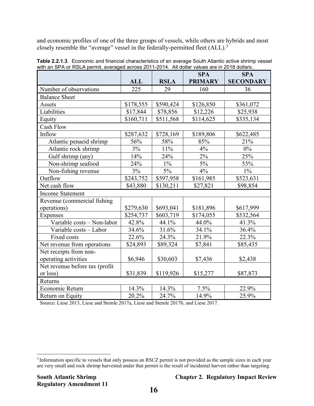and economic profiles of one of the three groups of vessels, while others are hybrids and most closely resemble the "average" vessel in the federally-permitted fleet  $(ALL)$ .<sup>[3](#page-22-1)</sup>

|                                |            |             | <b>SPA</b>     | <b>SPA</b>       |
|--------------------------------|------------|-------------|----------------|------------------|
|                                | <b>ALL</b> | <b>RSLA</b> | <b>PRIMARY</b> | <b>SECONDARY</b> |
| Number of observations         | 225        | 29          | 160            | 36               |
| <b>Balance Sheet</b>           |            |             |                |                  |
| Assets                         | \$178,555  | \$590,424   | \$126,850      | \$361,072        |
| Liabilities                    | \$17,844   | \$78,856    | \$12,226       | \$25,938         |
| Equity                         | \$160,711  | \$511,568   | \$114,625      | \$335,134        |
| <b>Cash Flow</b>               |            |             |                |                  |
| Inflow                         | \$287,632  | \$728,169   | \$189,806      | \$622,485        |
| Atlantic penaeid shrimp        | 56%        | 58%         | 85%            | 21%              |
| Atlantic rock shrimp           | 3%         | 11%         | 4%             | $0\%$            |
| Gulf shrimp (any)              | 14%        | 24%         | 2%             | 25%              |
| Non-shrimp seafood             | 24%        | $1\%$       | $5\%$          | 53%              |
| Non-fishing revenue            | 3%         | $5\%$       | 4%             | $1\%$            |
| Outflow                        | \$243,752  | \$597,958   | \$161,985      | \$523,631        |
| Net cash flow                  | \$43,880   | \$130,211   | \$27,821       | \$98,854         |
| <b>Income Statement</b>        |            |             |                |                  |
| Revenue (commercial fishing    |            |             |                |                  |
| operations)                    | \$279,630  | \$693,041   | \$181,896      | \$617,999        |
| Expenses                       | \$254,737  | \$603,719   | \$174,055      | \$532,564        |
| Variable costs - Non-labor     | 42.8%      | 44.1%       | 44.0%          | 41.3%            |
| Variable costs - Labor         | 34.6%      | 31.6%       | 34.1%          | 36.4%            |
| Fixed costs                    | 22.6%      | 24.3%       | 21.9%          | 22.3%            |
| Net revenue from operations    | \$24,893   | \$89,324    | \$7,841        | \$85,435         |
| Net receipts from non-         |            |             |                |                  |
| operating activities           | \$6,946    | \$30,603    | \$7,436        | \$2,438          |
| Net revenue before tax (profit |            |             |                |                  |
| or loss)                       | \$31,839   | \$119,926   | \$15,277       | \$87,873         |
| Returns                        |            |             |                |                  |
| Economic Return                | 14.3%      | 14.3%       | 7.5%           | 22.9%            |
| Return on Equity               | 20.2%      | 24.7%       | 14.9%          | 25.9%            |

<span id="page-22-0"></span>**Table 2.2.1.3**. Economic and financial characteristics of an average South Atlantic active shrimp vessel with an SPA or RSLA permit, averaged across 2011-2014. All dollar values are in 2018 dollars.

Source: Liese 2013, Liese and Stemle 2017a, Liese and Stemle 2017b, and Liese 2017.

<span id="page-22-1"></span><sup>3</sup> Information specific to vessels that only possess an RSCZ permit is not provided as the sample sizes in each year are very small and rock shrimp harvested under that permit is the result of incidental harvest rather than targeting.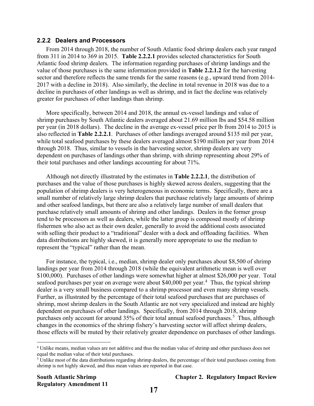#### **2.2.2 Dealers and Processors**

From 2014 through 2018, the number of South Atlantic food shrimp dealers each year ranged from 311 in 2014 to 369 in 2015. **Table 2.2.2.1** provides selected characteristics for South Atlantic food shrimp dealers. The information regarding purchases of shrimp landings and the value of those purchases is the same information provided in **Table 2.2.1.2** for the harvesting sector and therefore reflects the same trends for the same reasons (e.g., upward trend from 2014- 2017 with a decline in 2018). Also similarly, the decline in total revenue in 2018 was due to a decline in purchases of other landings as well as shrimp, and in fact the decline was relatively greater for purchases of other landings than shrimp.

More specifically, between 2014 and 2018, the annual ex-vessel landings and value of shrimp purchases by South Atlantic dealers averaged about 21.69 million lbs and \$54.58 million per year (in 2018 dollars). The decline in the average ex-vessel price per lb from 2014 to 2015 is also reflected in **Table 2.2.2.1**. Purchases of other landings averaged around \$135 mil per year, while total seafood purchases by these dealers averaged almost \$190 million per year from 2014 through 2018. Thus, similar to vessels in the harvesting sector, shrimp dealers are very dependent on purchases of landings other than shrimp, with shrimp representing about 29% of their total purchases and other landings accounting for about 71%.

Although not directly illustrated by the estimates in **Table 2.2.2.1**, the distribution of purchases and the value of those purchases is highly skewed across dealers, suggesting that the population of shrimp dealers is very heterogeneous in economic terms. Specifically, there are a small number of relatively large shrimp dealers that purchase relatively large amounts of shrimp and other seafood landings, but there are also a relatively large number of small dealers that purchase relatively small amounts of shrimp and other landings. Dealers in the former group tend to be processors as well as dealers, while the latter group is composed mostly of shrimp fishermen who also act as their own dealer, generally to avoid the additional costs associated with selling their product to a "traditional" dealer with a dock and offloading facilities. When data distributions are highly skewed, it is generally more appropriate to use the median to represent the "typical" rather than the mean.

For instance, the typical, i.e., median, shrimp dealer only purchases about \$8,500 of shrimp landings per year from 2014 through 2018 (while the equivalent arithmetic mean is well over \$100,000). Purchases of other landings were somewhat higher at almost \$26,000 per year. Total seafood purchases per year on average were about \$[4](#page-23-0)0,000 per year.<sup>4</sup> Thus, the typical shrimp dealer is a very small business compared to a shrimp processor and even many shrimp vessels. Further, as illustrated by the percentage of their total seafood purchases that are purchases of shrimp, most shrimp dealers in the South Atlantic are not very specialized and instead are highly dependent on purchases of other landings. Specifically, from 2014 through 2018, shrimp purchases only account for around 3[5](#page-23-1)% of their total annual seafood purchases.<sup>5</sup> Thus, although changes in the economics of the shrimp fishery's harvesting sector will affect shrimp dealers, those effects will be muted by their relatively greater dependence on purchases of other landings.

<span id="page-23-0"></span><sup>4</sup> Unlike means, median values are not additive and thus the median value of shrimp and other purchases does not equal the median value of their total purchases.

<span id="page-23-1"></span> $<sup>5</sup>$  Unlike most of the data distributions regarding shrimp dealers, the percentage of their total purchases coming from</sup> shrimp is not highly skewed, and thus mean values are reported in that case.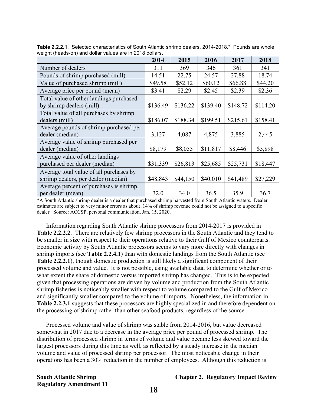|                                         | 2014     | 2015     | 2016     | 2017     | 2018     |
|-----------------------------------------|----------|----------|----------|----------|----------|
| Number of dealers                       | 311      | 369      | 346      | 361      | 341      |
| Pounds of shrimp purchased (mill)       | 14.51    | 22.75    | 24.57    | 27.88    | 18.74    |
| Value of purchased shrimp (mill)        | \$49.58  | \$52.12  | \$60.12  | \$66.88  | \$44.20  |
| Average price per pound (mean)          | \$3.41   | \$2.29   | \$2.45   | \$2.39   | \$2.36   |
| Total value of other landings purchased |          |          |          |          |          |
| by shrimp dealers (mill)                | \$136.49 | \$136.22 | \$139.40 | \$148.72 | \$114.20 |
| Total value of all purchases by shrimp  |          |          |          |          |          |
| dealers (mill)                          | \$186.07 | \$188.34 | \$199.51 | \$215.61 | \$158.41 |
| Average pounds of shrimp purchased per  |          |          |          |          |          |
| dealer (median)                         | 3,127    | 4,087    | 4,875    | 3,885    | 2,445    |
| Average value of shrimp purchased per   |          |          |          |          |          |
| dealer (median)                         | \$8,179  | \$8,055  | \$11,817 | \$8,446  | \$5,898  |
| Average value of other landings         |          |          |          |          |          |
| purchased per dealer (median)           | \$31,339 | \$26,813 | \$25,685 | \$25,731 | \$18,447 |
| Average total value of all purchases by |          |          |          |          |          |
| shrimp dealers, per dealer (median)     | \$48,843 | \$44,150 | \$40,010 | \$41,489 | \$27,229 |
| Average percent of purchases is shrimp, |          |          |          |          |          |
| per dealer (mean)                       | 32.0     | 34.0     | 36.5     | 35.9     | 36.7     |

<span id="page-24-0"></span>**Table 2.2.2.1**. Selected characteristics of South Atlantic shrimp dealers, 2014-2018.\*Pounds are whole weight (heads-on) and dollar values are in 2018 dollars.

\*A South Atlantic shrimp dealer is a dealer that purchased shrimp harvested from South Atlantic waters. Dealer estimates are subject to very minor errors as about .14% of shrimp revenue could not be assigned to a specific dealer. Source: ACCSP, personal communication, Jan. 15, 2020.

Information regarding South Atlantic shrimp processors from 2014-2017 is provided in **Table 2.2.2.2**. There are relatively few shrimp processors in the South Atlantic and they tend to be smaller in size with respect to their operations relative to their Gulf of Mexico counterparts. Economic activity by South Atlantic processors seems to vary more directly with changes in shrimp imports (see **Table 2.2.4.1**) than with domestic landings from the South Atlantic (see **Table 2.2.2.1**), though domestic production is still likely a significant component of their processed volume and value. It is not possible, using available data, to determine whether or to what extent the share of domestic versus imported shrimp has changed. This is to be expected given that processing operations are driven by volume and production from the South Atlantic shrimp fisheries is noticeably smaller with respect to volume compared to the Gulf of Mexico and significantly smaller compared to the volume of imports. Nonetheless, the information in **Table 2.2.3.1** suggests that these processors are highly specialized in and therefore dependent on the processing of shrimp rather than other seafood products, regardless of the source.

Processed volume and value of shrimp was stable from 2014-2016, but value decreased somewhat in 2017 due to a decrease in the average price per pound of processed shrimp. The distribution of processed shrimp in terms of volume and value became less skewed toward the largest processors during this time as well, as reflected by a steady increase in the median volume and value of processed shrimp per processor. The most noticeable change in their operations has been a 30% reduction in the number of employees. Although this reduction is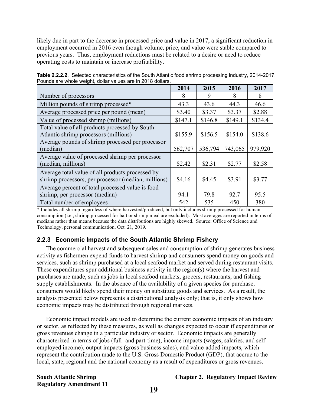likely due in part to the decrease in processed price and value in 2017, a significant reduction in employment occurred in 2016 even though volume, price, and value were stable compared to previous years. Thus, employment reductions must be related to a desire or need to reduce operating costs to maintain or increase profitability.

|                                                     | 2014    | 2015    | 2016    | 2017    |
|-----------------------------------------------------|---------|---------|---------|---------|
| Number of processors                                | 8       | 9       | 8       | 8       |
| Million pounds of shrimp processed*                 | 43.3    | 43.6    | 44.3    | 46.6    |
| Average processed price per pound (mean)            | \$3.40  | \$3.37  | \$3.37  | \$2.88  |
| Value of processed shrimp (millions)                | \$147.1 | \$146.8 | \$149.1 | \$134.4 |
| Total value of all products processed by South      |         |         |         |         |
| Atlantic shrimp processors (millions)               | \$155.9 | \$156.5 | \$154.0 | \$138.6 |
| Average pounds of shrimp processed per processor    |         |         |         |         |
| (median)                                            | 562,707 | 536,794 | 743,065 | 979,920 |
| Average value of processed shrimp per processor     |         |         |         |         |
| (median, millions)                                  | \$2.42  | \$2.31  | \$2.77  | \$2.58  |
| Average total value of all products processed by    |         |         |         |         |
| shrimp processors, per processor (median, millions) | \$4.16  | \$4.45  | \$3.91  | \$3.77  |
| Average percent of total processed value is food    |         |         |         |         |
| shrimp, per processor (median)                      | 94.1    | 79.8    | 92.7    | 95.5    |
| Total number of employees                           | 542     | 535     | 450     | 380     |

<span id="page-25-0"></span>**Table 2.2.2.2**. Selected characteristics of the South Atlantic food shrimp processing industry, 2014-2017. Pounds are whole weight, dollar values are in 2018 dollars.

\* Includes all shrimp regardless of where harvested/produced, but only includes shrimp processed for human consumption (i.e., shrimp processed for bait or shrimp meal are excluded). Most averages are reported in terms of medians rather than means because the data distributions are highly skewed. Source: Office of Science and Technology, personal communication, Oct. 21, 2019.

### **2.2.3 Economic Impacts of the South Atlantic Shrimp Fishery**

The commercial harvest and subsequent sales and consumption of shrimp generates business activity as fishermen expend funds to harvest shrimp and consumers spend money on goods and services, such as shrimp purchased at a local seafood market and served during restaurant visits. These expenditures spur additional business activity in the region(s) where the harvest and purchases are made, such as jobs in local seafood markets, grocers, restaurants, and fishing supply establishments. In the absence of the availability of a given species for purchase, consumers would likely spend their money on substitute goods and services. As a result, the analysis presented below represents a distributional analysis only; that is, it only shows how economic impacts may be distributed through regional markets.

Economic impact models are used to determine the current economic impacts of an industry or sector, as reflected by these measures, as well as changes expected to occur if expenditures or gross revenues change in a particular industry or sector. Economic impacts are generally characterized in terms of jobs (full- and part-time), income impacts (wages, salaries, and selfemployed income), output impacts (gross business sales), and value-added impacts, which represent the contribution made to the U.S. Gross Domestic Product (GDP), that accrue to the local, state, regional and the national economy as a result of expenditures or gross revenues.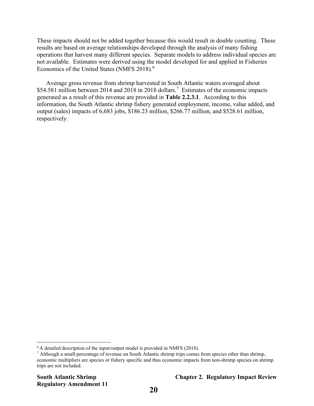These impacts should not be added together because this would result in double counting. These results are based on average relationships developed through the analysis of many fishing operations that harvest many different species. Separate models to address individual species are not available. Estimates were derived using the model developed for and applied in Fisheries Economics of the United States (NMFS 2018). [6](#page-26-0)

Average gross revenue from shrimp harvested in South Atlantic waters averaged about \$54.581 million between 2014 and 2018 in 2018 dollars.<sup>[7](#page-26-1)</sup> Estimates of the economic impacts generated as a result of this revenue are provided in **Table 2.2.3.1**. According to this information, the South Atlantic shrimp fishery generated employment, income, value added, and output (sales) impacts of 6,683 jobs, \$186.23 million, \$266.77 million, and \$528.61 million, respectively.

<span id="page-26-0"></span> $6$  A detailed description of the input/output model is provided in NMFS (2018).

<span id="page-26-1"></span><sup>7</sup> Although a small percentage of revenue on South Atlantic shrimp trips comes from species other than shrimp, economic multipliers are species or fishery specific and thus economic impacts from non-shrimp species on shrimp trips are not included.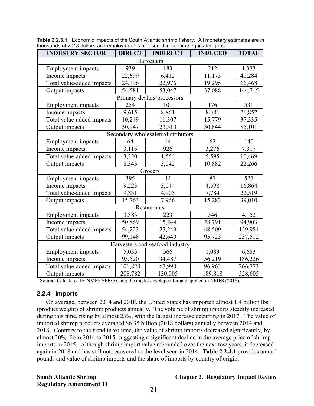| aloaddinas or Zo to abilato and omployment is measured in full antico equivalent jobs.<br><b>INDUSTRY SECTOR</b> | <b>DIRECT</b> | <b>INDIRECT</b>                    | <b>INDUCED</b> | <b>TOTAL</b> |  |  |
|------------------------------------------------------------------------------------------------------------------|---------------|------------------------------------|----------------|--------------|--|--|
| Harvesters                                                                                                       |               |                                    |                |              |  |  |
| <b>Employment</b> impacts                                                                                        | 939           | 183                                | 212            | 1,333        |  |  |
| Income impacts                                                                                                   | 22,699        | 6,412                              | 11,173         | 40,284       |  |  |
| Total value-added impacts                                                                                        | 24,196        | 22,976                             | 19,295         | 66,468       |  |  |
| Output impacts                                                                                                   | 54,581        | 53,047                             | 37,088         | 144,715      |  |  |
|                                                                                                                  |               | Primary dealers/processors         |                |              |  |  |
| Employment impacts                                                                                               | 254           | 101                                | 176            | 531          |  |  |
| Income impacts                                                                                                   | 9,615         | 8,861                              | 8,381          | 26,857       |  |  |
| Total value-added impacts                                                                                        | 10,249        | 11,307                             | 15,779         | 37,335       |  |  |
| Output impacts                                                                                                   | 30,947        | 23,310                             | 30,844         | 85,101       |  |  |
|                                                                                                                  |               | Secondary wholesalers/distributors |                |              |  |  |
| <b>Employment</b> impacts                                                                                        | 64            | 14                                 | 62             | 140          |  |  |
| Income impacts                                                                                                   | 3,115         | 926                                | 3,276          | 7,317        |  |  |
| Total value-added impacts                                                                                        | 3,320         | 1,554                              | 5,595          | 10,469       |  |  |
| Output impacts                                                                                                   | 8,343         | 3,042                              | 10,882         | 22,266       |  |  |
|                                                                                                                  |               | Grocers                            |                |              |  |  |
| <b>Employment</b> impacts                                                                                        | 395           | 44                                 | 87             | 527          |  |  |
| Income impacts                                                                                                   | 9,223         | 3,044                              | 4,598          | 16,864       |  |  |
| Total value-added impacts                                                                                        | 9,831         | 4,905                              | 7,784          | 22,519       |  |  |
| Output impacts                                                                                                   | 15,763        | 7,966                              | 15,282         | 39,010       |  |  |
|                                                                                                                  |               | Restaurants                        |                |              |  |  |
| <b>Employment</b> impacts                                                                                        | 3,383         | 223                                | 546            | 4,152        |  |  |
| Income impacts                                                                                                   | 50,869        | 15,244                             | 28,791         | 94,903       |  |  |
| Total value-added impacts                                                                                        | 54,223        | 27,249                             | 48,509         | 129,981      |  |  |
| Output impacts                                                                                                   | 99,148        | 42,640                             | 95,723         | 237,512      |  |  |
|                                                                                                                  |               | Harvesters and seafood industry    |                |              |  |  |
| <b>Employment</b> impacts                                                                                        | 5,035         | 566                                | 1,083          | 6,683        |  |  |
| Income impacts                                                                                                   | 95,520        | 34,487                             | 56,219         | 186,226      |  |  |
| Total value-added impacts                                                                                        | 101,820       | 67,990                             | 96,963         | 266,773      |  |  |
| Output impacts                                                                                                   | 208,782       | 130,005                            | 189,818        | 528,605      |  |  |

<span id="page-27-0"></span>**Table 2.2.3.1**. Economic impacts of the South Atlantic shrimp fishery. All monetary estimates are in thousands of 2018 dollars and employment is measured in full-time equivalent jobs.

Source: Calculated by NMFS SERO using the model developed for and applied in NMFS (2018).

#### **2.2.4 Imports**

On average, between 2014 and 2018, the United States has imported almost 1.4 billion lbs (product weight) of shrimp products annually. The volume of shrimp imports steadily increased during this time, rising by almost 23%, with the largest increase occurring in 2017. The value of imported shrimp products averaged \$6.35 billion (2018 dollars) annually between 2014 and 2018. Contrary to the trend in volume, the value of shrimp imports decreased significantly, by almost 20%, from 2014 to 2015, suggesting a significant decline in the average price of shrimp imports in 2015. Although shrimp import value rebounded over the next few years, it decreased again in 2018 and has still not recovered to the level seen in 2014. **Table 2.2.4.1** provides annual pounds and value of shrimp imports and the share of imports by country of origin.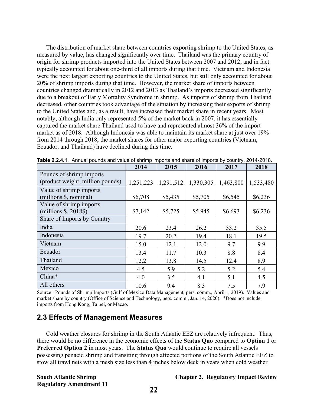The distribution of market share between countries exporting shrimp to the United States, as measured by value, has changed significantly over time. Thailand was the primary country of origin for shrimp products imported into the United States between 2007 and 2012, and in fact typically accounted for about one-third of all imports during that time. Vietnam and Indonesia were the next largest exporting countries to the United States, but still only accounted for about 20% of shrimp imports during that time. However, the market share of imports between countries changed dramatically in 2012 and 2013 as Thailand's imports decreased significantly due to a breakout of Early Mortality Syndrome in shrimp. As imports of shrimp from Thailand decreased, other countries took advantage of the situation by increasing their exports of shrimp to the United States and, as a result, have increased their market share in recent years. Most notably, although India only represented 5% of the market back in 2007, it has essentially captured the market share Thailand used to have and represented almost 36% of the import market as of 2018. Although Indonesia was able to maintain its market share at just over 19% from 2014 through 2018, the market shares for other major exporting countries (Vietnam, Ecuador, and Thailand) have declined during this time.

|                                  | 2014      | 2015      | 2016      | 2017      | 2018      |
|----------------------------------|-----------|-----------|-----------|-----------|-----------|
| Pounds of shrimp imports         |           |           |           |           |           |
| (product weight, million pounds) | 1,251,223 | 1,291,512 | 1,330,305 | 1,463,800 | 1,533,480 |
| Value of shrimp imports          |           |           |           |           |           |
| (millions \$, nominal)           | \$6,708   | \$5,435   | \$5,705   | \$6,545   | \$6,236   |
| Value of shrimp imports          |           |           |           |           |           |
| $(millions §, 2018§)$            | \$7,142   | \$5,725   | \$5,945   | \$6,693   | \$6,236   |
| Share of Imports by Country      |           |           |           |           |           |
| India                            | 20.6      | 23.4      | 26.2      | 33.2      | 35.5      |
| Indonesia                        | 19.7      | 20.2      | 19.4      | 18.1      | 19.5      |
| Vietnam                          | 15.0      | 12.1      | 12.0      | 9.7       | 9.9       |
| Ecuador                          | 13.4      | 11.7      | 10.3      | 8.8       | 8.4       |
| Thailand                         | 12.2      | 13.8      | 14.5      | 12.4      | 8.9       |
| Mexico                           | 4.5       | 5.9       | 5.2       | 5.2       | 5.4       |
| China*                           | 4.0       | 3.5       | 4.1       | 5.1       | 4.5       |
| All others                       | 10.6      | 9.4       | 8.3       | 7.5       | 7.9       |

<span id="page-28-0"></span>**Table 2.2.4.1**. Annual pounds and value of shrimp imports and share of imports by country, 2014-2018.

Source: Pounds of Shrimp Imports (Gulf of Mexico Data Management, pers. comm., April 1, 2019). Values and market share by country (Office of Science and Technology, pers. comm., Jan. 14, 2020). \*Does not include imports from Hong Kong, Taipei, or Macao.

### **2.3 Effects of Management Measures**

Cold weather closures for shrimp in the South Atlantic EEZ are relatively infrequent. Thus, there would be no difference in the economic effects of the **Status Quo** compared to **Option 1** or **Preferred Option 2** in most years. The **Status Quo** would continue to require all vessels possessing penaeid shrimp and transiting through affected portions of the South Atlantic EEZ to stow all trawl nets with a mesh size less than 4 inches below deck in years when cold weather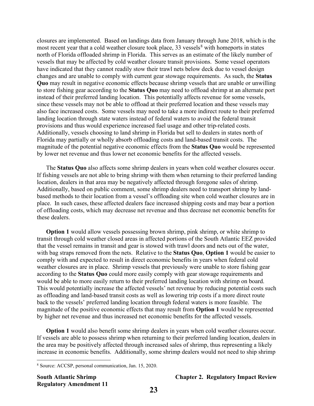closures are implemented. Based on landings data from January through June 2018, which is the most recent year that a cold weather closure took place,  $33$  vessels<sup>[8](#page-29-0)</sup> with homeports in states north of Florida offloaded shrimp in Florida. This serves as an estimate of the likely number of vessels that may be affected by cold weather closure transit provisions. Some vessel operators have indicated that they cannot readily stow their trawl nets below deck due to vessel design changes and are unable to comply with current gear stowage requirements. As such, the **Status Quo** may result in negative economic effects because shrimp vessels that are unable or unwilling to store fishing gear according to the **Status Quo** may need to offload shrimp at an alternate port instead of their preferred landing location. This potentially affects revenue for some vessels, since these vessels may not be able to offload at their preferred location and these vessels may also face increased costs. Some vessels may need to take a more indirect route to their preferred landing location through state waters instead of federal waters to avoid the federal transit provisions and thus would experience increased fuel usage and other trip-related costs. Additionally, vessels choosing to land shrimp in Florida but sell to dealers in states north of Florida may partially or wholly absorb offloading costs and land-based transit costs. The magnitude of the potential negative economic effects from the **Status Quo** would be represented by lower net revenue and thus lower net economic benefits for the affected vessels.

The **Status Quo** also affects some shrimp dealers in years when cold weather closures occur. If fishing vessels are not able to bring shrimp with them when returning to their preferred landing location, dealers in that area may be negatively affected through foregone sales of shrimp. Additionally, based on public comment, some shrimp dealers need to transport shrimp by landbased methods to their location from a vessel's offloading site when cold weather closures are in place. In such cases, these affected dealers face increased shipping costs and may bear a portion of offloading costs, which may decrease net revenue and thus decrease net economic benefits for these dealers.

**Option 1** would allow vessels possessing brown shrimp, pink shrimp, or white shrimp to transit through cold weather closed areas in affected portions of the South Atlantic EEZ provided that the vessel remains in transit and gear is stowed with trawl doors and nets out of the water, with bag straps removed from the nets. Relative to the **Status Quo**, **Option 1** would be easier to comply with and expected to result in direct economic benefits in years when federal cold weather closures are in place. Shrimp vessels that previously were unable to store fishing gear according to the **Status Quo** could more easily comply with gear stowage requirements and would be able to more easily return to their preferred landing location with shrimp on board. This would potentially increase the affected vessels' net revenue by reducing potential costs such as offloading and land-based transit costs as well as lowering trip costs if a more direct route back to the vessels' preferred landing location through federal waters is more feasible. The magnitude of the positive economic effects that may result from **Option 1** would be represented by higher net revenue and thus increased net economic benefits for the affected vessels.

**Option 1** would also benefit some shrimp dealers in years when cold weather closures occur. If vessels are able to possess shrimp when returning to their preferred landing location, dealers in the area may be positively affected through increased sales of shrimp, thus representing a likely increase in economic benefits. Additionally, some shrimp dealers would not need to ship shrimp

<span id="page-29-0"></span><sup>8</sup> Source: ACCSP, personal communication, Jan. 15, 2020.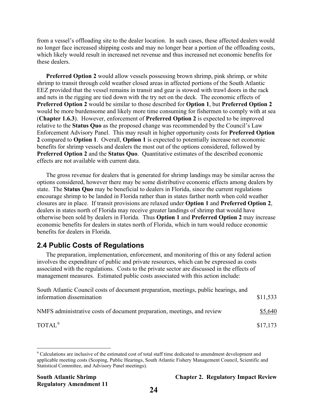from a vessel's offloading site to the dealer location. In such cases, these affected dealers would no longer face increased shipping costs and may no longer bear a portion of the offloading costs, which likely would result in increased net revenue and thus increased net economic benefits for these dealers.

**Preferred Option 2** would allow vessels possessing brown shrimp, pink shrimp, or white shrimp to transit through cold weather closed areas in affected portions of the South Atlantic EEZ provided that the vessel remains in transit and gear is stowed with trawl doors in the rack and nets in the rigging are tied down with the try net on the deck. The economic effects of **Preferred Option 2** would be similar to those described for **Option 1**, but **Preferred Option 2** would be more burdensome and likely more time consuming for fishermen to comply with at sea (**Chapter 1.6.3**). However, enforcement of **Preferred Option 2** is expected to be improved relative to the **Status Quo** as the proposed change was recommended by the Council's Law Enforcement Advisory Panel. This may result in higher opportunity costs for **Preferred Option 2** compared to **Option 1**. Overall, **Option 1** is expected to potentially increase net economic benefits for shrimp vessels and dealers the most out of the options considered, followed by **Preferred Option 2** and the **Status Quo**. Quantitative estimates of the described economic effects are not available with current data.

The gross revenue for dealers that is generated for shrimp landings may be similar across the options considered, however there may be some distributive economic effects among dealers by state. The **Status Quo** may be beneficial to dealers in Florida, since the current regulations encourage shrimp to be landed in Florida rather than in states farther north when cold weather closures are in place. If transit provisions are relaxed under **Option 1** and **Preferred Option 2**, dealers in states north of Florida may receive greater landings of shrimp that would have otherwise been sold by dealers in Florida. Thus **Option 1** and **Preferred Option 2** may increase economic benefits for dealers in states north of Florida, which in turn would reduce economic benefits for dealers in Florida.

## **2.4 Public Costs of Regulations**

The preparation, implementation, enforcement, and monitoring of this or any federal action involves the expenditure of public and private resources, which can be expressed as costs associated with the regulations. Costs to the private sector are discussed in the effects of management measures. Estimated public costs associated with this action include:

| South Atlantic Council costs of document preparation, meetings, public hearings, and |          |
|--------------------------------------------------------------------------------------|----------|
| information dissemination                                                            | \$11,533 |
|                                                                                      |          |
| NMFS administrative costs of document preparation, meetings, and review              | \$5,640  |
|                                                                                      |          |
| TOTAL <sup>9</sup>                                                                   | \$17,173 |

<span id="page-30-0"></span><sup>9</sup> Calculations are inclusive of the estimated cost of total staff time dedicated to amendment development and applicable meeting costs (Scoping, Public Hearings, South Atlantic Fishery Management Council, Scientific and Statistical Committee, and Advisory Panel meetings).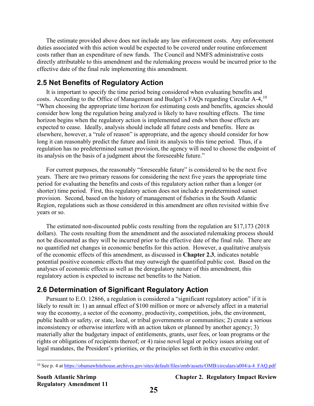The estimate provided above does not include any law enforcement costs. Any enforcement duties associated with this action would be expected to be covered under routine enforcement costs rather than an expenditure of new funds. The Council and NMFS administrative costs directly attributable to this amendment and the rulemaking process would be incurred prior to the effective date of the final rule implementing this amendment.

## **2.5 Net Benefits of Regulatory Action**

It is important to specify the time period being considered when evaluating benefits and costs. According to the Office of Management and Budget's FAQs regarding Circular A-4, <sup>10</sup> "When choosing the appropriate time horizon for estimating costs and benefits, agencies should consider how long the regulation being analyzed is likely to have resulting effects. The time horizon begins when the regulatory action is implemented and ends when those effects are expected to cease. Ideally, analysis should include all future costs and benefits. Here as elsewhere, however, a "rule of reason" is appropriate, and the agency should consider for how long it can reasonably predict the future and limit its analysis to this time period. Thus, if a regulation has no predetermined sunset provision, the agency will need to choose the endpoint of its analysis on the basis of a judgment about the foreseeable future."

For current purposes, the reasonably "foreseeable future" is considered to be the next five years. There are two primary reasons for considering the next five years the appropriate time period for evaluating the benefits and costs of this regulatory action rather than a longer (or shorter) time period. First, this regulatory action does not include a predetermined sunset provision. Second, based on the history of management of fisheries in the South Atlantic Region, regulations such as those considered in this amendment are often revisited within five years or so.

The estimated non-discounted public costs resulting from the regulation are \$17,173 (2018 dollars). The costs resulting from the amendment and the associated rulemaking process should not be discounted as they will be incurred prior to the effective date of the final rule. There are no quantified net changes in economic benefits for this action. However, a qualitative analysis of the economic effects of this amendment, as discussed in **Chapter 2.3**, indicates notable potential positive economic effects that may outweigh the quantified public cost. Based on the analyses of economic effects as well as the deregulatory nature of this amendment, this regulatory action is expected to increase net benefits to the Nation.

## **2.6 Determination of Significant Regulatory Action**

Pursuant to E.O. 12866, a regulation is considered a "significant regulatory action" if it is likely to result in: 1) an annual effect of \$100 million or more or adversely affect in a material way the economy, a sector of the economy, productivity, competition, jobs, the environment, public health or safety, or state, local, or tribal governments or communities; 2) create a serious inconsistency or otherwise interfere with an action taken or planned by another agency; 3) materially alter the budgetary impact of entitlements, grants, user fees, or loan programs or the rights or obligations of recipients thereof; or 4) raise novel legal or policy issues arising out of legal mandates, the President's priorities, or the principles set forth in this executive order.

<span id="page-31-0"></span><sup>&</sup>lt;sup>10</sup> See p. 4 at [https://obamawhitehouse.archives.gov/sites/default/files/omb/assets/OMB/circulars/a004/a-4\\_FAQ.pdf](https://obamawhitehouse.archives.gov/sites/default/files/omb/assets/OMB/circulars/a004/a-4_FAQ.pdf)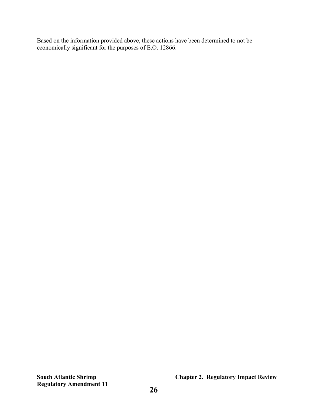Based on the information provided above, these actions have been determined to not be economically significant for the purposes of E.O. 12866.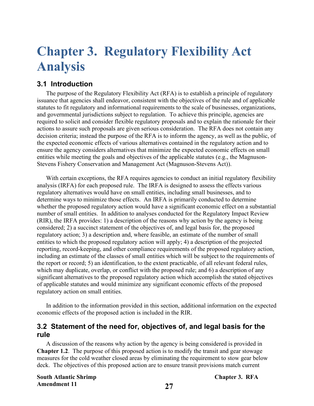## <span id="page-33-0"></span>**Chapter 3. Regulatory Flexibility Act Analysis**

## **3.1 Introduction**

The purpose of the Regulatory Flexibility Act (RFA) is to establish a principle of regulatory issuance that agencies shall endeavor, consistent with the objectives of the rule and of applicable statutes to fit regulatory and informational requirements to the scale of businesses, organizations, and governmental jurisdictions subject to regulation. To achieve this principle, agencies are required to solicit and consider flexible regulatory proposals and to explain the rationale for their actions to assure such proposals are given serious consideration. The RFA does not contain any decision criteria; instead the purpose of the RFA is to inform the agency, as well as the public, of the expected economic effects of various alternatives contained in the regulatory action and to ensure the agency considers alternatives that minimize the expected economic effects on small entities while meeting the goals and objectives of the applicable statutes (e.g., the Magnuson-Stevens Fishery Conservation and Management Act (Magnuson-Stevens Act)).

With certain exceptions, the RFA requires agencies to conduct an initial regulatory flexibility analysis (IRFA) for each proposed rule. The IRFA is designed to assess the effects various regulatory alternatives would have on small entities, including small businesses, and to determine ways to minimize those effects. An IRFA is primarily conducted to determine whether the proposed regulatory action would have a significant economic effect on a substantial number of small entities. In addition to analyses conducted for the Regulatory Impact Review (RIR), the IRFA provides: 1) a description of the reasons why action by the agency is being considered; 2) a succinct statement of the objectives of, and legal basis for, the proposed regulatory action; 3) a description and, where feasible, an estimate of the number of small entities to which the proposed regulatory action will apply; 4) a description of the projected reporting, record-keeping, and other compliance requirements of the proposed regulatory action, including an estimate of the classes of small entities which will be subject to the requirements of the report or record; 5) an identification, to the extent practicable, of all relevant federal rules, which may duplicate, overlap, or conflict with the proposed rule; and 6) a description of any significant alternatives to the proposed regulatory action which accomplish the stated objectives of applicable statutes and would minimize any significant economic effects of the proposed regulatory action on small entities.

In addition to the information provided in this section, additional information on the expected economic effects of the proposed action is included in the RIR.

## **3.2 Statement of the need for, objectives of, and legal basis for the rule**

A discussion of the reasons why action by the agency is being considered is provided in **Chapter 1.2**. The purpose of this proposed action is to modify the transit and gear stowage measures for the cold weather closed areas by eliminating the requirement to stow gear below deck. The objectives of this proposed action are to ensure transit provisions match current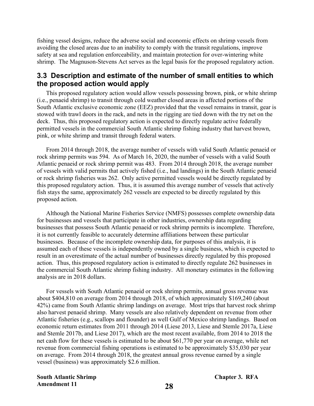fishing vessel designs, reduce the adverse social and economic effects on shrimp vessels from avoiding the closed areas due to an inability to comply with the transit regulations, improve safety at sea and regulation enforceability, and maintain protection for over-wintering white shrimp. The Magnuson-Stevens Act serves as the legal basis for the proposed regulatory action.

### **3.3 Description and estimate of the number of small entities to which the proposed action would apply**

This proposed regulatory action would allow vessels possessing brown, pink, or white shrimp (i.e., penaeid shrimp) to transit through cold weather closed areas in affected portions of the South Atlantic exclusive economic zone (EEZ) provided that the vessel remains in transit, gear is stowed with trawl doors in the rack, and nets in the rigging are tied down with the try net on the deck. Thus, this proposed regulatory action is expected to directly regulate active federally permitted vessels in the commercial South Atlantic shrimp fishing industry that harvest brown, pink, or white shrimp and transit through federal waters.

From 2014 through 2018, the average number of vessels with valid South Atlantic penaeid or rock shrimp permits was 594. As of March 16, 2020, the number of vessels with a valid South Atlantic penaeid or rock shrimp permit was 483. From 2014 through 2018, the average number of vessels with valid permits that actively fished (i.e., had landings) in the South Atlantic penaeid or rock shrimp fisheries was 262. Only active permitted vessels would be directly regulated by this proposed regulatory action. Thus, it is assumed this average number of vessels that actively fish stays the same, approximately 262 vessels are expected to be directly regulated by this proposed action.

Although the National Marine Fisheries Service (NMFS) possesses complete ownership data for businesses and vessels that participate in other industries, ownership data regarding businesses that possess South Atlantic penaeid or rock shrimp permits is incomplete. Therefore, it is not currently feasible to accurately determine affiliations between these particular businesses. Because of the incomplete ownership data, for purposes of this analysis, it is assumed each of these vessels is independently owned by a single business, which is expected to result in an overestimate of the actual number of businesses directly regulated by this proposed action. Thus, this proposed regulatory action is estimated to directly regulate 262 businesses in the commercial South Atlantic shrimp fishing industry. All monetary estimates in the following analysis are in 2018 dollars.

For vessels with South Atlantic penaeid or rock shrimp permits, annual gross revenue was about \$404,810 on average from 2014 through 2018, of which approximately \$169,240 (about 42%) came from South Atlantic shrimp landings on average. Most trips that harvest rock shrimp also harvest penaeid shrimp. Many vessels are also relatively dependent on revenue from other Atlantic fisheries (e.g., scallops and flounder) as well Gulf of Mexico shrimp landings. Based on economic return estimates from 2011 through 2014 (Liese 2013, Liese and Stemle 2017a, Liese and Stemle 2017b, and Liese 2017), which are the most recent available, from 2014 to 2018 the net cash flow for these vessels is estimated to be about \$61,770 per year on average, while net revenue from commercial fishing operations is estimated to be approximately \$35,030 per year on average. From 2014 through 2018, the greatest annual gross revenue earned by a single vessel (business) was approximately \$2.6 million.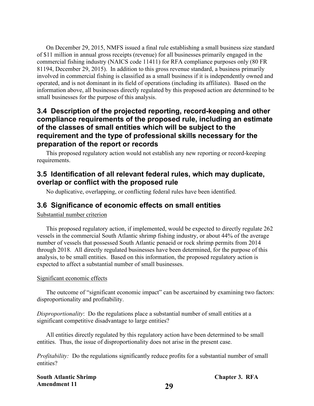On December 29, 2015, NMFS issued a final rule establishing a small business size standard of \$11 million in annual gross receipts (revenue) for all businesses primarily engaged in the commercial fishing industry (NAICS code 11411) for RFA compliance purposes only (80 FR 81194, December 29, 2015). In addition to this gross revenue standard, a business primarily involved in commercial fishing is classified as a small business if it is independently owned and operated, and is not dominant in its field of operations (including its affiliates). Based on the information above, all businesses directly regulated by this proposed action are determined to be small businesses for the purpose of this analysis.

## **3.4 Description of the projected reporting, record-keeping and other compliance requirements of the proposed rule, including an estimate of the classes of small entities which will be subject to the requirement and the type of professional skills necessary for the preparation of the report or records**

This proposed regulatory action would not establish any new reporting or record-keeping requirements.

## **3.5 Identification of all relevant federal rules, which may duplicate, overlap or conflict with the proposed rule**

No duplicative, overlapping, or conflicting federal rules have been identified.

### **3.6 Significance of economic effects on small entities**

Substantial number criterion

This proposed regulatory action, if implemented, would be expected to directly regulate 262 vessels in the commercial South Atlantic shrimp fishing industry, or about 44% of the average number of vessels that possessed South Atlantic penaeid or rock shrimp permits from 2014 through 2018. All directly regulated businesses have been determined, for the purpose of this analysis, to be small entities. Based on this information, the proposed regulatory action is expected to affect a substantial number of small businesses.

#### Significant economic effects

The outcome of "significant economic impact" can be ascertained by examining two factors: disproportionality and profitability.

*Disproportionality*: Do the regulations place a substantial number of small entities at a significant competitive disadvantage to large entities?

All entities directly regulated by this regulatory action have been determined to be small entities. Thus, the issue of disproportionality does not arise in the present case.

*Profitability:* Do the regulations significantly reduce profits for a substantial number of small entities?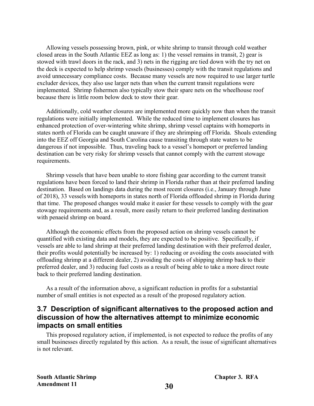Allowing vessels possessing brown, pink, or white shrimp to transit through cold weather closed areas in the South Atlantic EEZ as long as: 1) the vessel remains in transit, 2) gear is stowed with trawl doors in the rack, and 3) nets in the rigging are tied down with the try net on the deck is expected to help shrimp vessels (businesses) comply with the transit regulations and avoid unnecessary compliance costs. Because many vessels are now required to use larger turtle excluder devices, they also use larger nets than when the current transit regulations were implemented. Shrimp fishermen also typically stow their spare nets on the wheelhouse roof because there is little room below deck to stow their gear.

Additionally, cold weather closures are implemented more quickly now than when the transit regulations were initially implemented. While the reduced time to implement closures has enhanced protection of over-wintering white shrimp, shrimp vessel captains with homeports in states north of Florida can be caught unaware if they are shrimping off Florida. Shoals extending into the EEZ off Georgia and South Carolina cause transiting through state waters to be dangerous if not impossible. Thus, traveling back to a vessel's homeport or preferred landing destination can be very risky for shrimp vessels that cannot comply with the current stowage requirements.

Shrimp vessels that have been unable to store fishing gear according to the current transit regulations have been forced to land their shrimp in Florida rather than at their preferred landing destination. Based on landings data during the most recent closures (i.e., January through June of 2018), 33 vessels with homeports in states north of Florida offloaded shrimp in Florida during that time. The proposed changes would make it easier for these vessels to comply with the gear stowage requirements and, as a result, more easily return to their preferred landing destination with penaeid shrimp on board.

Although the economic effects from the proposed action on shrimp vessels cannot be quantified with existing data and models, they are expected to be positive. Specifically, if vessels are able to land shrimp at their preferred landing destination with their preferred dealer, their profits would potentially be increased by: 1) reducing or avoiding the costs associated with offloading shrimp at a different dealer, 2) avoiding the costs of shipping shrimp back to their preferred dealer, and 3) reducing fuel costs as a result of being able to take a more direct route back to their preferred landing destination.

As a result of the information above, a significant reduction in profits for a substantial number of small entities is not expected as a result of the proposed regulatory action.

## **3.7 Description of significant alternatives to the proposed action and discussion of how the alternatives attempt to minimize economic impacts on small entities**

This proposed regulatory action, if implemented, is not expected to reduce the profits of any small businesses directly regulated by this action. As a result, the issue of significant alternatives is not relevant.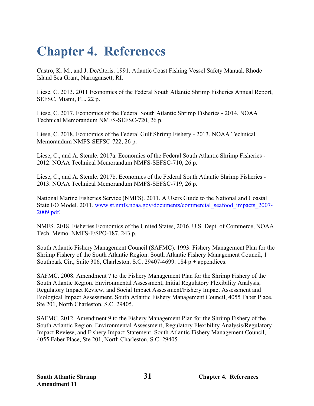## <span id="page-37-0"></span>**Chapter 4. References**

Castro, K. M., and J. DeAlteris. 1991. Atlantic Coast Fishing Vessel Safety Manual. Rhode Island Sea Grant, Narragansett, RI.

Liese. C. 2013. 2011 Economics of the Federal South Atlantic Shrimp Fisheries Annual Report, SEFSC, Miami, FL. 22 p.

Liese, C. 2017. Economics of the Federal South Atlantic Shrimp Fisheries - 2014. NOAA Technical Memorandum NMFS-SEFSC-720, 26 p.

Liese, C. 2018. Economics of the Federal Gulf Shrimp Fishery - 2013. NOAA Technical Memorandum NMFS-SEFSC-722, 26 p.

Liese, C., and A. Stemle. 2017a. Economics of the Federal South Atlantic Shrimp Fisheries - 2012. NOAA Technical Memorandum NMFS-SEFSC-710, 26 p.

Liese, C., and A. Stemle. 2017b. Economics of the Federal South Atlantic Shrimp Fisheries - 2013. NOAA Technical Memorandum NMFS-SEFSC-719, 26 p.

National Marine Fisheries Service (NMFS). 2011. A Users Guide to the National and Coastal State I/O Model. 2011. [www.st.nmfs.noaa.gov/documents/commercial\\_seafood\\_impacts\\_2007-](http://www.st.nmfs.noaa.gov/documents/commercial_seafood_impacts_2007-2009.pdf) [2009.pdf.](http://www.st.nmfs.noaa.gov/documents/commercial_seafood_impacts_2007-2009.pdf)

NMFS. 2018. Fisheries Economics of the United States, 2016. U.S. Dept. of Commerce, NOAA Tech. Memo. NMFS-F/SPO-187, 243 p.

South Atlantic Fishery Management Council (SAFMC). 1993. Fishery Management Plan for the Shrimp Fishery of the South Atlantic Region. South Atlantic Fishery Management Council, 1 Southpark Cir., Suite 306, Charleston, S.C. 29407-4699. 184 p + appendices.

SAFMC. 2008. Amendment 7 to the Fishery Management Plan for the Shrimp Fishery of the South Atlantic Region. Environmental Assessment, Initial Regulatory Flexibility Analysis, Regulatory Impact Review, and Social Impact Assessment/Fishery Impact Assessment and Biological Impact Assessment. South Atlantic Fishery Management Council, 4055 Faber Place, Ste 201, North Charleston, S.C. 29405.

SAFMC. 2012. Amendment 9 to the Fishery Management Plan for the Shrimp Fishery of the South Atlantic Region. Environmental Assessment, Regulatory Flexibility Analysis/Regulatory Impact Review, and Fishery Impact Statement. South Atlantic Fishery Management Council, 4055 Faber Place, Ste 201, North Charleston, S.C. 29405.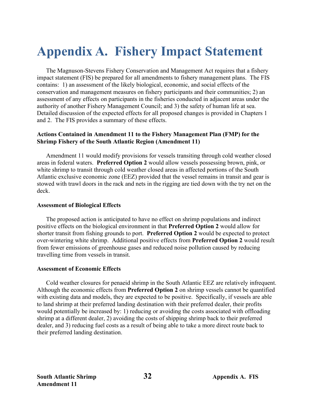# <span id="page-38-0"></span>**Appendix A. Fishery Impact Statement**

The Magnuson-Stevens Fishery Conservation and Management Act requires that a fishery impact statement (FIS) be prepared for all amendments to fishery management plans. The FIS contains: 1) an assessment of the likely biological, economic, and social effects of the conservation and management measures on fishery participants and their communities; 2) an assessment of any effects on participants in the fisheries conducted in adjacent areas under the authority of another Fishery Management Council; and 3) the safety of human life at sea. Detailed discussion of the expected effects for all proposed changes is provided in Chapters 1 and 2. The FIS provides a summary of these effects.

#### **Actions Contained in Amendment 11 to the Fishery Management Plan (FMP) for the Shrimp Fishery of the South Atlantic Region (Amendment 11)**

Amendment 11 would modify provisions for vessels transiting through cold weather closed areas in federal waters. **Preferred Option 2** would allow vessels possessing brown, pink, or white shrimp to transit through cold weather closed areas in affected portions of the South Atlantic exclusive economic zone (EEZ) provided that the vessel remains in transit and gear is stowed with trawl doors in the rack and nets in the rigging are tied down with the try net on the deck.

#### **Assessment of Biological Effects**

The proposed action is anticipated to have no effect on shrimp populations and indirect positive effects on the biological environment in that **Preferred Option 2** would allow for shorter transit from fishing grounds to port. **Preferred Option 2** would be expected to protect over-wintering white shrimp. Additional positive effects from **Preferred Option 2** would result from fewer emissions of greenhouse gases and reduced noise pollution caused by reducing travelling time from vessels in transit.

#### **Assessment of Economic Effects**

Cold weather closures for penaeid shrimp in the South Atlantic EEZ are relatively infrequent. Although the economic effects from **Preferred Option 2** on shrimp vessels cannot be quantified with existing data and models, they are expected to be positive. Specifically, if vessels are able to land shrimp at their preferred landing destination with their preferred dealer, their profits would potentially be increased by: 1) reducing or avoiding the costs associated with offloading shrimp at a different dealer, 2) avoiding the costs of shipping shrimp back to their preferred dealer, and 3) reducing fuel costs as a result of being able to take a more direct route back to their preferred landing destination.